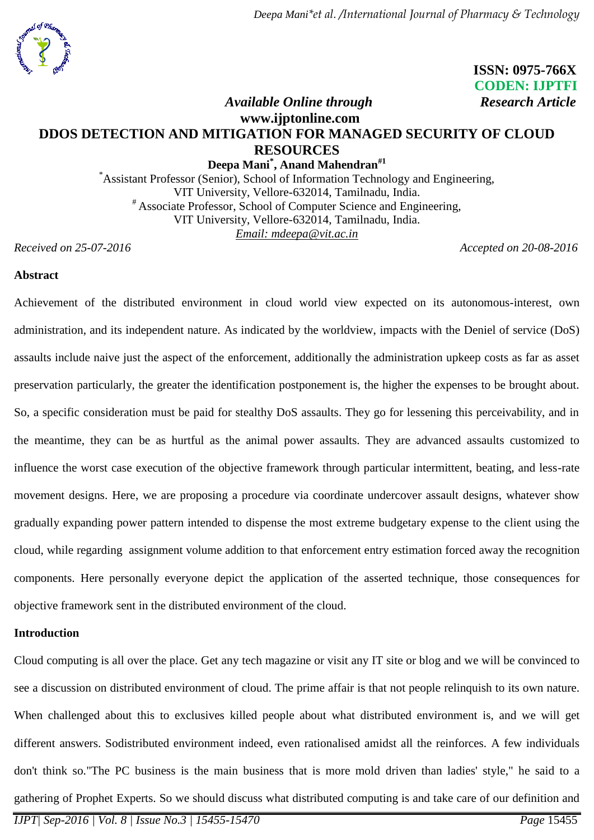

# **ISSN: 0975-766X CODEN: IJPTFI**

# *Available Online through* **Research Article www.ijptonline.com DDOS DETECTION AND MITIGATION FOR MANAGED SECURITY OF CLOUD RESOURCES**

**Deepa Mani\* , Anand Mahendran#1** \*Assistant Professor (Senior), School of Information Technology and Engineering, VIT University, Vellore-632014, Tamilnadu, India. # Associate Professor, School of Computer Science and Engineering, VIT University, Vellore-632014, Tamilnadu, India. *Email: [mdeepa@vit.ac.in](mailto:mdeepa@vit.ac.in)*

*Received on 25-07-2016 Accepted on 20-08-2016*

### **Abstract**

Achievement of the distributed environment in cloud world view expected on its autonomous-interest, own administration, and its independent nature. As indicated by the worldview, impacts with the Deniel of service (DoS) assaults include naive just the aspect of the enforcement, additionally the administration upkeep costs as far as asset preservation particularly, the greater the identification postponement is, the higher the expenses to be brought about. So, a specific consideration must be paid for stealthy DoS assaults. They go for lessening this perceivability, and in the meantime, they can be as hurtful as the animal power assaults. They are advanced assaults customized to influence the worst case execution of the objective framework through particular intermittent, beating, and less-rate movement designs. Here, we are proposing a procedure via coordinate undercover assault designs, whatever show gradually expanding power pattern intended to dispense the most extreme budgetary expense to the client using the cloud, while regarding assignment volume addition to that enforcement entry estimation forced away the recognition components. Here personally everyone depict the application of the asserted technique, those consequences for objective framework sent in the distributed environment of the cloud.

#### **Introduction**

Cloud computing is all over the place. Get any tech magazine or visit any IT site or blog and we will be convinced to see a discussion on distributed environment of cloud. The prime affair is that not people relinquish to its own nature. When challenged about this to exclusives killed people about what distributed environment is, and we will get different answers. Sodistributed environment indeed, even rationalised amidst all the reinforces. A few individuals don't think so."The PC business is the main business that is more mold driven than ladies' style," he said to a gathering of Prophet Experts. So we should discuss what distributed computing is and take care of our definition and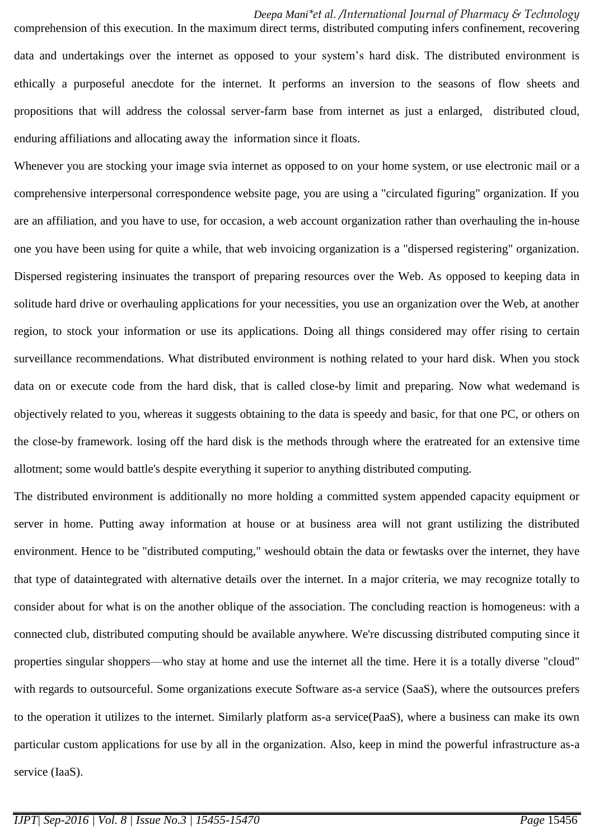comprehension of this execution. In the maximum direct terms, distributed computing infers confinement, recovering data and undertakings over the internet as opposed to your system's hard disk. The distributed environment is ethically a purposeful anecdote for the internet. It performs an inversion to the seasons of flow sheets and propositions that will address the colossal server-farm base from internet as just a enlarged, distributed cloud, enduring affiliations and allocating away the information since it floats.

Whenever you are stocking your image svia internet as opposed to on your home system, or use electronic mail or a comprehensive interpersonal correspondence website page, you are using a "circulated figuring" organization. If you are an affiliation, and you have to use, for occasion, a web account organization rather than overhauling the in-house one you have been using for quite a while, that web invoicing organization is a "dispersed registering" organization. Dispersed registering insinuates the transport of preparing resources over the Web. As opposed to keeping data in solitude hard drive or overhauling applications for your necessities, you use an organization over the Web, at another region, to stock your information or use its applications. Doing all things considered may offer rising to certain surveillance recommendations. What distributed environment is nothing related to your hard disk. When you stock data on or execute code from the hard disk, that is called close-by limit and preparing. Now what wedemand is objectively related to you, whereas it suggests obtaining to the data is speedy and basic, for that one PC, or others on the close-by framework. losing off the hard disk is the methods through where the eratreated for an extensive time allotment; some would battle's despite everything it superior to anything distributed computing.

The distributed environment is additionally no more holding a committed system appended capacity equipment or server in home. Putting away information at house or at business area will not grant ustilizing the distributed environment. Hence to be "distributed computing," weshould obtain the data or fewtasks over the internet, they have that type of dataintegrated with alternative details over the internet. In a major criteria, we may recognize totally to consider about for what is on the another oblique of the association. The concluding reaction is homogeneus: with a connected club, distributed computing should be available anywhere. We're discussing distributed computing since it properties singular shoppers—who stay at home and use the internet all the time. Here it is a totally diverse "cloud" with regards to outsourceful. Some organizations execute Software as-a service (SaaS), where the outsources prefers to the operation it utilizes to the internet. Similarly platform as-a service(PaaS), where a business can make its own particular custom applications for use by all in the organization. Also, keep in mind the powerful infrastructure as-a service (IaaS).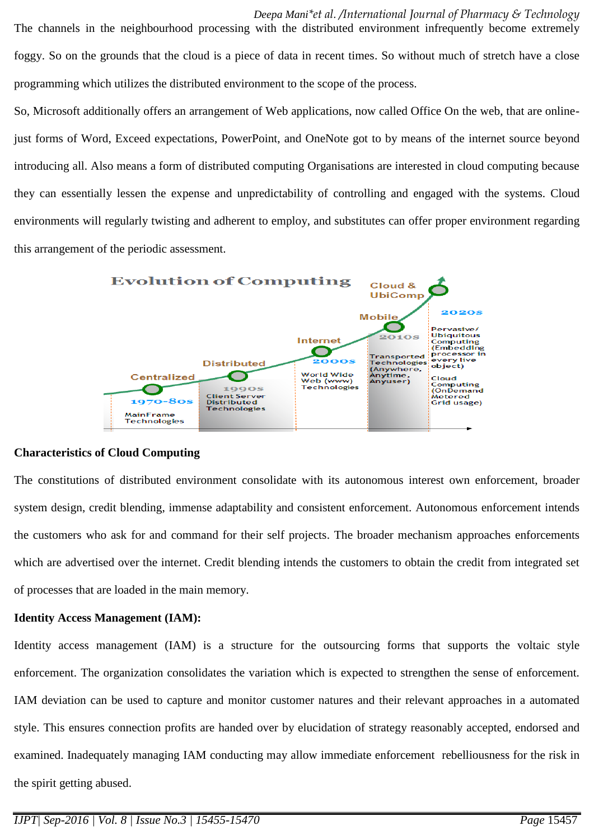*Deepa Mani\*et al. /International Journal of Pharmacy & Technology*  The channels in the neighbourhood processing with the distributed environment infrequently become extremely foggy. So on the grounds that the cloud is a piece of data in recent times. So without much of stretch have a close programming which utilizes the distributed environment to the scope of the process.

So, Microsoft additionally offers an arrangement of Web applications, now called Office On the web, that are onlinejust forms of Word, Exceed expectations, PowerPoint, and OneNote got to by means of the internet source beyond introducing all. Also means a form of distributed computing Organisations are interested in cloud computing because they can essentially lessen the expense and unpredictability of controlling and engaged with the systems. Cloud environments will regularly twisting and adherent to employ, and substitutes can offer proper environment regarding this arrangement of the periodic assessment.



### **Characteristics of Cloud Computing**

The constitutions of distributed environment consolidate with its autonomous interest own enforcement, broader system design, credit blending, immense adaptability and consistent enforcement. Autonomous enforcement intends the customers who ask for and command for their self projects. The broader mechanism approaches enforcements which are advertised over the internet. Credit blending intends the customers to obtain the credit from integrated set of processes that are loaded in the main memory.

### **Identity Access Management (IAM):**

Identity access management (IAM) is a structure for the outsourcing forms that supports the voltaic style enforcement. The organization consolidates the variation which is expected to strengthen the sense of enforcement. IAM deviation can be used to capture and monitor customer natures and their relevant approaches in a automated style. This ensures connection profits are handed over by elucidation of strategy reasonably accepted, endorsed and examined. Inadequately managing IAM conducting may allow immediate enforcement rebelliousness for the risk in the spirit getting abused.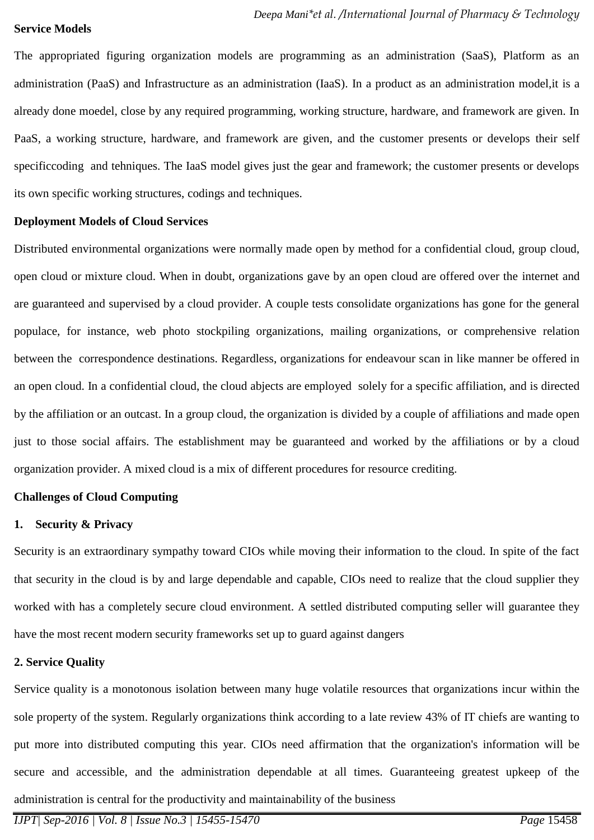#### **Service Models**

The appropriated figuring organization models are programming as an administration (SaaS), Platform as an administration (PaaS) and Infrastructure as an administration (IaaS). In a product as an administration model,it is a already done moedel, close by any required programming, working structure, hardware, and framework are given. In PaaS, a working structure, hardware, and framework are given, and the customer presents or develops their self specificcoding and tehniques. The IaaS model gives just the gear and framework; the customer presents or develops its own specific working structures, codings and techniques.

#### **Deployment Models of Cloud Services**

Distributed environmental organizations were normally made open by method for a confidential cloud, group cloud, open cloud or mixture cloud. When in doubt, organizations gave by an open cloud are offered over the internet and are guaranteed and supervised by a cloud provider. A couple tests consolidate organizations has gone for the general populace, for instance, web photo stockpiling organizations, mailing organizations, or comprehensive relation between the correspondence destinations. Regardless, organizations for endeavour scan in like manner be offered in an open cloud. In a confidential cloud, the cloud abjects are employed solely for a specific affiliation, and is directed by the affiliation or an outcast. In a group cloud, the organization is divided by a couple of affiliations and made open just to those social affairs. The establishment may be guaranteed and worked by the affiliations or by a cloud organization provider. A mixed cloud is a mix of different procedures for resource crediting.

### **Challenges of Cloud Computing**

### **1. Security & Privacy**

Security is an extraordinary sympathy toward CIOs while moving their information to the cloud. In spite of the fact that security in the cloud is by and large dependable and capable, CIOs need to realize that the cloud supplier they worked with has a completely secure cloud environment. A settled distributed computing seller will guarantee they have the most recent modern security frameworks set up to guard against dangers

### **2. Service Quality**

Service quality is a monotonous isolation between many huge volatile resources that organizations incur within the sole property of the system. Regularly organizations think according to a late review 43% of IT chiefs are wanting to put more into distributed computing this year. CIOs need affirmation that the organization's information will be secure and accessible, and the administration dependable at all times. Guaranteeing greatest upkeep of the administration is central for the productivity and maintainability of the business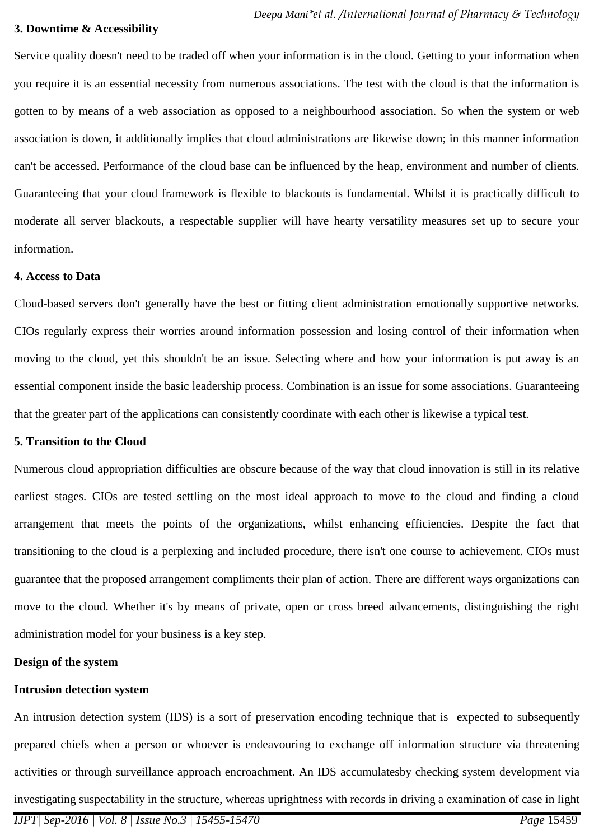#### **3. Downtime & Accessibility**

Service quality doesn't need to be traded off when your information is in the cloud. Getting to your information when you require it is an essential necessity from numerous associations. The test with the cloud is that the information is gotten to by means of a web association as opposed to a neighbourhood association. So when the system or web association is down, it additionally implies that cloud administrations are likewise down; in this manner information can't be accessed. Performance of the cloud base can be influenced by the heap, environment and number of clients. Guaranteeing that your cloud framework is flexible to blackouts is fundamental. Whilst it is practically difficult to moderate all server blackouts, a respectable supplier will have hearty versatility measures set up to secure your information.

#### **4. Access to Data**

Cloud-based servers don't generally have the best or fitting client administration emotionally supportive networks. CIOs regularly express their worries around information possession and losing control of their information when moving to the cloud, yet this shouldn't be an issue. Selecting where and how your information is put away is an essential component inside the basic leadership process. Combination is an issue for some associations. Guaranteeing that the greater part of the applications can consistently coordinate with each other is likewise a typical test.

### **5. Transition to the Cloud**

Numerous cloud appropriation difficulties are obscure because of the way that cloud innovation is still in its relative earliest stages. CIOs are tested settling on the most ideal approach to move to the cloud and finding a cloud arrangement that meets the points of the organizations, whilst enhancing efficiencies. Despite the fact that transitioning to the cloud is a perplexing and included procedure, there isn't one course to achievement. CIOs must guarantee that the proposed arrangement compliments their plan of action. There are different ways organizations can move to the cloud. Whether it's by means of private, open or cross breed advancements, distinguishing the right administration model for your business is a key step.

### **Design of the system**

#### **Intrusion detection system**

An intrusion detection system (IDS) is a sort of preservation encoding technique that is expected to subsequently prepared chiefs when a person or whoever is endeavouring to exchange off information structure via threatening activities or through surveillance approach encroachment. An IDS accumulatesby checking system development via investigating suspectability in the structure, whereas uprightness with records in driving a examination of case in light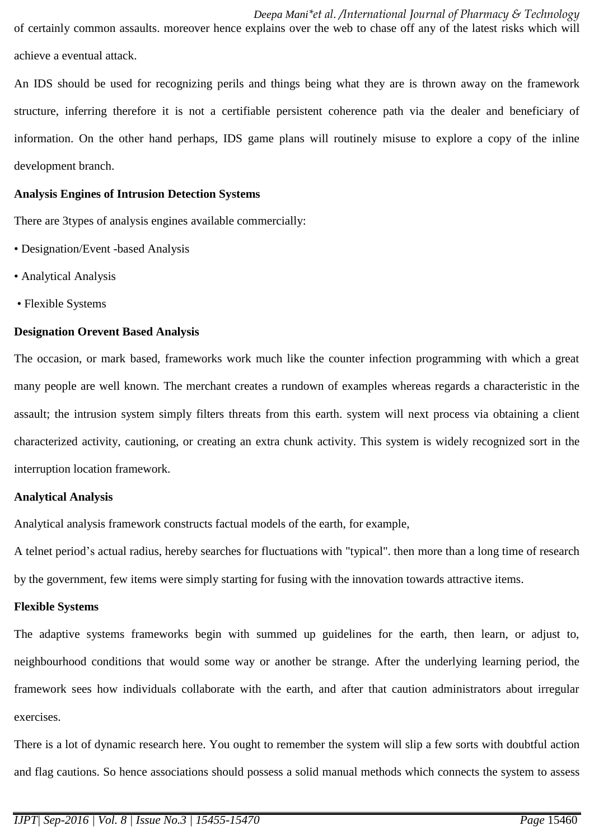*Deepa Mani\*et al. /International Journal of Pharmacy & Technology*  of certainly common assaults. moreover hence explains over the web to chase off any of the latest risks which will achieve a eventual attack.

An IDS should be used for recognizing perils and things being what they are is thrown away on the framework structure, inferring therefore it is not a certifiable persistent coherence path via the dealer and beneficiary of information. On the other hand perhaps, IDS game plans will routinely misuse to explore a copy of the inline development branch.

#### **Analysis Engines of Intrusion Detection Systems**

There are 3types of analysis engines available commercially:

- Designation/Event -based Analysis
- Analytical Analysis
- Flexible Systems

### **Designation Orevent Based Analysis**

The occasion, or mark based, frameworks work much like the counter infection programming with which a great many people are well known. The merchant creates a rundown of examples whereas regards a characteristic in the assault; the intrusion system simply filters threats from this earth. system will next process via obtaining a client characterized activity, cautioning, or creating an extra chunk activity. This system is widely recognized sort in the interruption location framework.

### **Analytical Analysis**

Analytical analysis framework constructs factual models of the earth, for example,

A telnet period's actual radius, hereby searches for fluctuations with "typical". then more than a long time of research by the government, few items were simply starting for fusing with the innovation towards attractive items.

### **Flexible Systems**

The adaptive systems frameworks begin with summed up guidelines for the earth, then learn, or adjust to, neighbourhood conditions that would some way or another be strange. After the underlying learning period, the framework sees how individuals collaborate with the earth, and after that caution administrators about irregular exercises.

There is a lot of dynamic research here. You ought to remember the system will slip a few sorts with doubtful action and flag cautions. So hence associations should possess a solid manual methods which connects the system to assess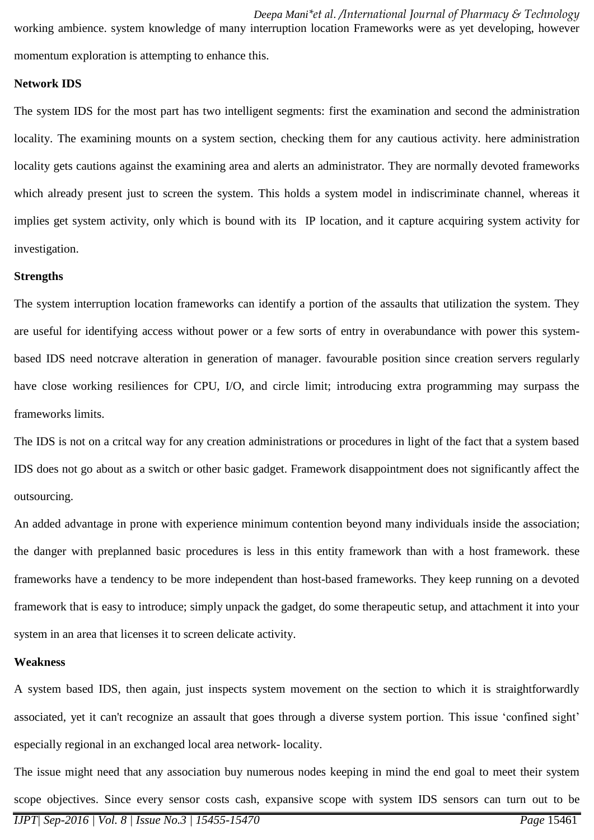working ambience. system knowledge of many interruption location Frameworks were as yet developing, however momentum exploration is attempting to enhance this.

#### **Network IDS**

The system IDS for the most part has two intelligent segments: first the examination and second the administration locality. The examining mounts on a system section, checking them for any cautious activity. here administration locality gets cautions against the examining area and alerts an administrator. They are normally devoted frameworks which already present just to screen the system. This holds a system model in indiscriminate channel, whereas it implies get system activity, only which is bound with its IP location, and it capture acquiring system activity for investigation.

#### **Strengths**

The system interruption location frameworks can identify a portion of the assaults that utilization the system. They are useful for identifying access without power or a few sorts of entry in overabundance with power this systembased IDS need notcrave alteration in generation of manager. favourable position since creation servers regularly have close working resiliences for CPU, I/O, and circle limit; introducing extra programming may surpass the frameworks limits.

The IDS is not on a critcal way for any creation administrations or procedures in light of the fact that a system based IDS does not go about as a switch or other basic gadget. Framework disappointment does not significantly affect the outsourcing.

An added advantage in prone with experience minimum contention beyond many individuals inside the association; the danger with preplanned basic procedures is less in this entity framework than with a host framework. these frameworks have a tendency to be more independent than host-based frameworks. They keep running on a devoted framework that is easy to introduce; simply unpack the gadget, do some therapeutic setup, and attachment it into your system in an area that licenses it to screen delicate activity.

### **Weakness**

A system based IDS, then again, just inspects system movement on the section to which it is straightforwardly associated, yet it can't recognize an assault that goes through a diverse system portion. This issue 'confined sight' especially regional in an exchanged local area network- locality.

The issue might need that any association buy numerous nodes keeping in mind the end goal to meet their system scope objectives. Since every sensor costs cash, expansive scope with system IDS sensors can turn out to be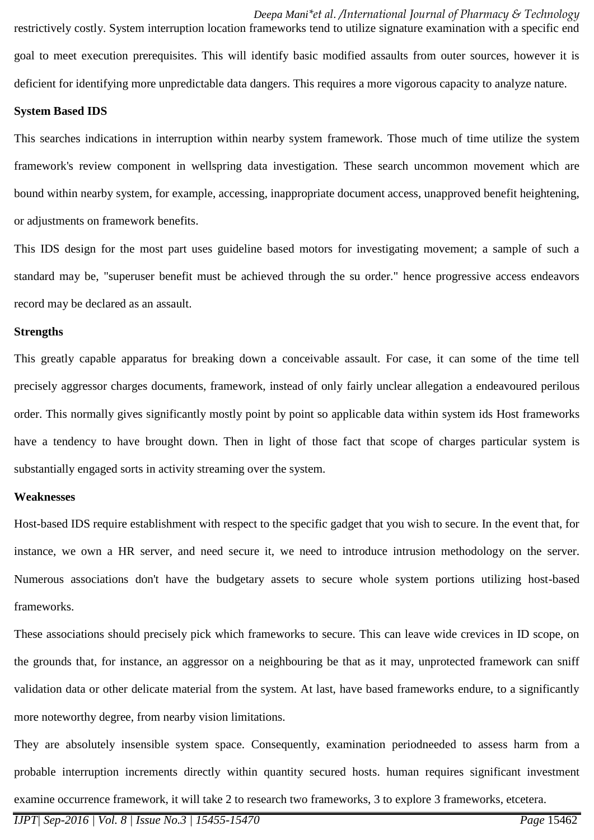restrictively costly. System interruption location frameworks tend to utilize signature examination with a specific end goal to meet execution prerequisites. This will identify basic modified assaults from outer sources, however it is deficient for identifying more unpredictable data dangers. This requires a more vigorous capacity to analyze nature.

#### **System Based IDS**

This searches indications in interruption within nearby system framework. Those much of time utilize the system framework's review component in wellspring data investigation. These search uncommon movement which are bound within nearby system, for example, accessing, inappropriate document access, unapproved benefit heightening, or adjustments on framework benefits.

This IDS design for the most part uses guideline based motors for investigating movement; a sample of such a standard may be, "superuser benefit must be achieved through the su order." hence progressive access endeavors record may be declared as an assault.

#### **Strengths**

This greatly capable apparatus for breaking down a conceivable assault. For case, it can some of the time tell precisely aggressor charges documents, framework, instead of only fairly unclear allegation a endeavoured perilous order. This normally gives significantly mostly point by point so applicable data within system ids Host frameworks have a tendency to have brought down. Then in light of those fact that scope of charges particular system is substantially engaged sorts in activity streaming over the system.

#### **Weaknesses**

Host-based IDS require establishment with respect to the specific gadget that you wish to secure. In the event that, for instance, we own a HR server, and need secure it, we need to introduce intrusion methodology on the server. Numerous associations don't have the budgetary assets to secure whole system portions utilizing host-based frameworks.

These associations should precisely pick which frameworks to secure. This can leave wide crevices in ID scope, on the grounds that, for instance, an aggressor on a neighbouring be that as it may, unprotected framework can sniff validation data or other delicate material from the system. At last, have based frameworks endure, to a significantly more noteworthy degree, from nearby vision limitations.

They are absolutely insensible system space. Consequently, examination periodneeded to assess harm from a probable interruption increments directly within quantity secured hosts. human requires significant investment examine occurrence framework, it will take 2 to research two frameworks, 3 to explore 3 frameworks, etcetera.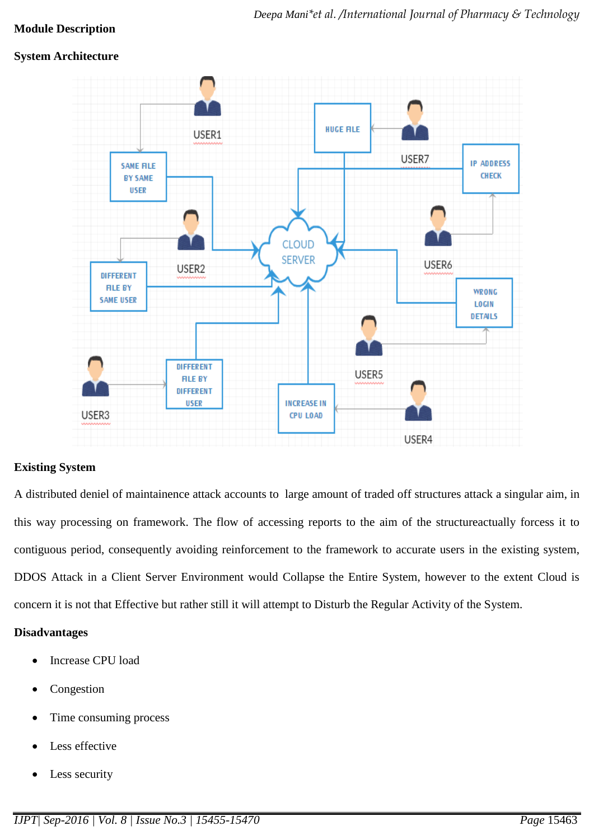### **Module Description**

### **System Architecture**



### **Existing System**

A distributed deniel of maintainence attack accounts to large amount of traded off structures attack a singular aim, in this way processing on framework. The flow of accessing reports to the aim of the structureactually forcess it to contiguous period, consequently avoiding reinforcement to the framework to accurate users in the existing system, DDOS Attack in a Client Server Environment would Collapse the Entire System, however to the extent Cloud is concern it is not that Effective but rather still it will attempt to Disturb the Regular Activity of the System.

### **Disadvantages**

- Increase CPU load
- Congestion
- Time consuming process
- Less effective
- Less security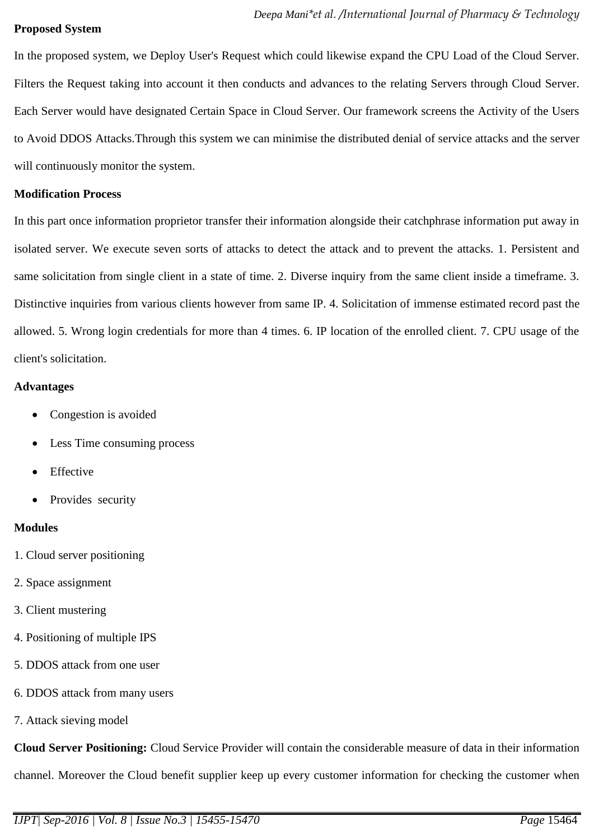#### **Proposed System**

In the proposed system, we Deploy User's Request which could likewise expand the CPU Load of the Cloud Server. Filters the Request taking into account it then conducts and advances to the relating Servers through Cloud Server. Each Server would have designated Certain Space in Cloud Server. Our framework screens the Activity of the Users to Avoid DDOS Attacks.Through this system we can minimise the distributed denial of service attacks and the server will continuously monitor the system.

### **Modification Process**

In this part once information proprietor transfer their information alongside their catchphrase information put away in isolated server. We execute seven sorts of attacks to detect the attack and to prevent the attacks. 1. Persistent and same solicitation from single client in a state of time. 2. Diverse inquiry from the same client inside a timeframe. 3. Distinctive inquiries from various clients however from same IP. 4. Solicitation of immense estimated record past the allowed. 5. Wrong login credentials for more than 4 times. 6. IP location of the enrolled client. 7. CPU usage of the client's solicitation.

#### **Advantages**

- Congestion is avoided
- Less Time consuming process
- Effective
- Provides security

### **Modules**

- 1. Cloud server positioning
- 2. Space assignment
- 3. Client mustering
- 4. Positioning of multiple IPS
- 5. DDOS attack from one user
- 6. DDOS attack from many users
- 7. Attack sieving model

**Cloud Server Positioning:** Cloud Service Provider will contain the considerable measure of data in their information channel. Moreover the Cloud benefit supplier keep up every customer information for checking the customer when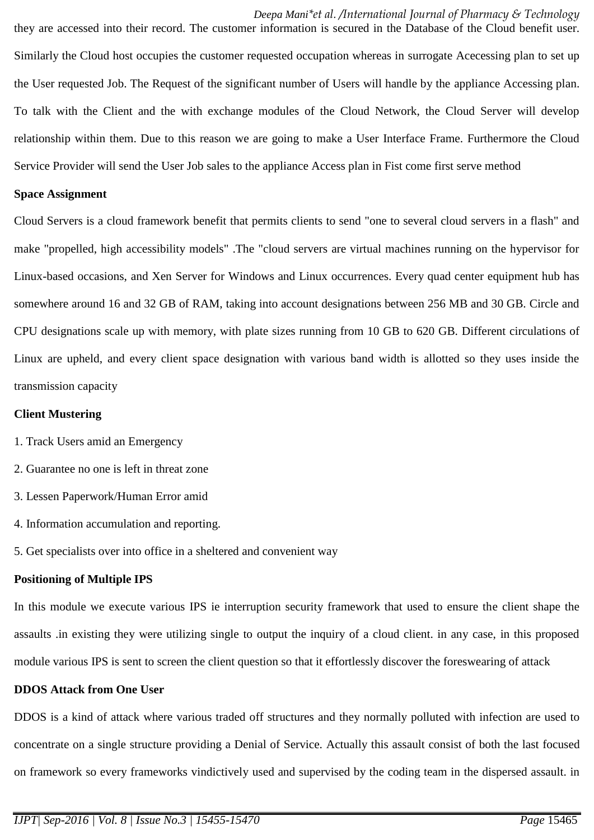they are accessed into their record. The customer information is secured in the Database of the Cloud benefit user. Similarly the Cloud host occupies the customer requested occupation whereas in surrogate Acecessing plan to set up the User requested Job. The Request of the significant number of Users will handle by the appliance Accessing plan. To talk with the Client and the with exchange modules of the Cloud Network, the Cloud Server will develop relationship within them. Due to this reason we are going to make a User Interface Frame. Furthermore the Cloud Service Provider will send the User Job sales to the appliance Access plan in Fist come first serve method

#### **Space Assignment**

Cloud Servers is a cloud framework benefit that permits clients to send "one to several cloud servers in a flash" and make "propelled, high accessibility models" .The "cloud servers are virtual machines running on the hypervisor for Linux-based occasions, and Xen Server for Windows and Linux occurrences. Every quad center equipment hub has somewhere around 16 and 32 GB of RAM, taking into account designations between 256 MB and 30 GB. Circle and CPU designations scale up with memory, with plate sizes running from 10 GB to 620 GB. Different circulations of Linux are upheld, and every client space designation with various band width is allotted so they uses inside the transmission capacity

#### **Client Mustering**

- 1. Track Users amid an Emergency
- 2. Guarantee no one is left in threat zone
- 3. Lessen Paperwork/Human Error amid
- 4. Information accumulation and reporting.
- 5. Get specialists over into office in a sheltered and convenient way

### **Positioning of Multiple IPS**

In this module we execute various IPS ie interruption security framework that used to ensure the client shape the assaults .in existing they were utilizing single to output the inquiry of a cloud client. in any case, in this proposed module various IPS is sent to screen the client question so that it effortlessly discover the foreswearing of attack

### **DDOS Attack from One User**

DDOS is a kind of attack where various traded off structures and they normally polluted with infection are used to concentrate on a single structure providing a Denial of Service. Actually this assault consist of both the last focused on framework so every frameworks vindictively used and supervised by the coding team in the dispersed assault. in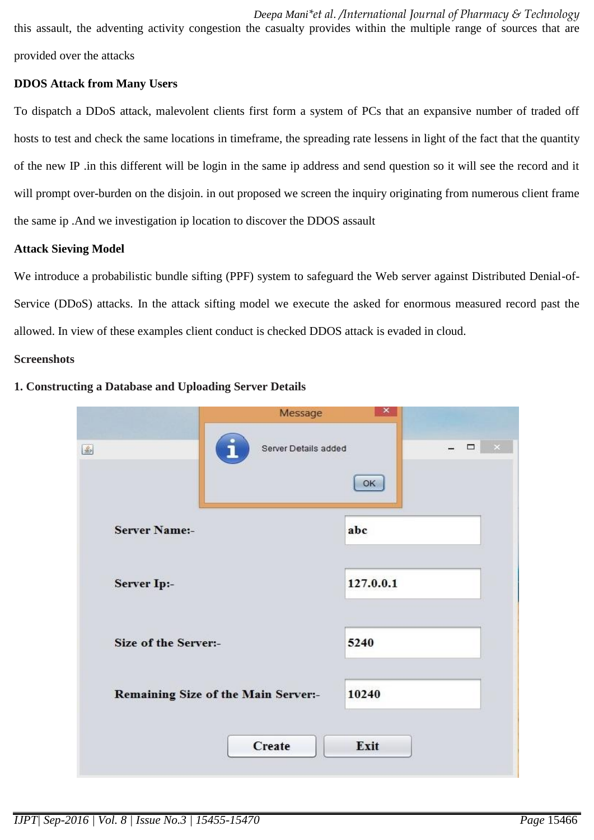*Deepa Mani\*et al. /International Journal of Pharmacy & Technology*  this assault, the adventing activity congestion the casualty provides within the multiple range of sources that are provided over the attacks

### **DDOS Attack from Many Users**

To dispatch a DDoS attack, malevolent clients first form a system of PCs that an expansive number of traded off hosts to test and check the same locations in timeframe, the spreading rate lessens in light of the fact that the quantity of the new IP .in this different will be login in the same ip address and send question so it will see the record and it will prompt over-burden on the disjoin. in out proposed we screen the inquiry originating from numerous client frame the same ip .And we investigation ip location to discover the DDOS assault

### **Attack Sieving Model**

We introduce a probabilistic bundle sifting (PPF) system to safeguard the Web server against Distributed Denial-of-Service (DDoS) attacks. In the attack sifting model we execute the asked for enormous measured record past the allowed. In view of these examples client conduct is checked DDOS attack is evaded in cloud.

#### **Screenshots**

| Message                             | ×.           |
|-------------------------------------|--------------|
| Server Details added<br>国<br>ī      | $\Box$<br>OK |
| <b>Server Name:-</b>                | abc          |
| Server Ip:-                         | 127.0.0.1    |
| Size of the Server:-                | 5240         |
| Remaining Size of the Main Server:- | 10240        |
| Create                              | Exit         |

#### **1. Constructing a Database and Uploading Server Details**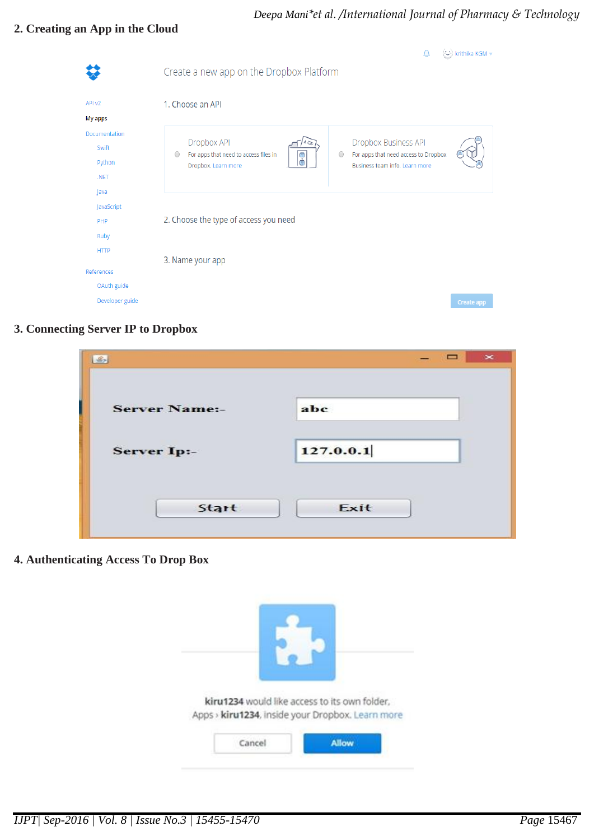# *Deepa Mani\*et al. /International Journal of Pharmacy & Technology*

# **2. Creating an App in the Cloud**

|                 |                                                                      | (-ご) krithika KGM <del>~</del>                                                       |
|-----------------|----------------------------------------------------------------------|--------------------------------------------------------------------------------------|
|                 | Create a new app on the Dropbox Platform                             |                                                                                      |
| API v2          | 1. Choose an API                                                     |                                                                                      |
| My apps         |                                                                      |                                                                                      |
| Documentation   | Dropbox API                                                          | Dropbox Business API                                                                 |
| Swift<br>Python | For apps that need to access files in<br>$\frac{1}{2}$<br>$\bigcirc$ | For apps that need access to Dropbox<br>$\bigcirc$<br>Business team info. Learn more |
| .NET            | Dropbox. Learn more                                                  |                                                                                      |
| Java            |                                                                      |                                                                                      |
| JavaScript      |                                                                      |                                                                                      |
| PHP             | 2. Choose the type of access you need                                |                                                                                      |
| Ruby            |                                                                      |                                                                                      |
| <b>HTTP</b>     | 3. Name your app                                                     |                                                                                      |
| References      |                                                                      |                                                                                      |
| OAuth guide     |                                                                      |                                                                                      |
| Developer guide |                                                                      | <b>Create app</b>                                                                    |

# **3. Connecting Server IP to Dropbox**

| $\frac{d^2}{dx^2}$   | $\pmb{\times}$<br>$\Box$ |
|----------------------|--------------------------|
| <b>Server Name:-</b> | abc                      |
| <b>Server Ip:-</b>   | 127.0.0.1                |
| Start                | Exit                     |

**4. Authenticating Access To Drop Box**

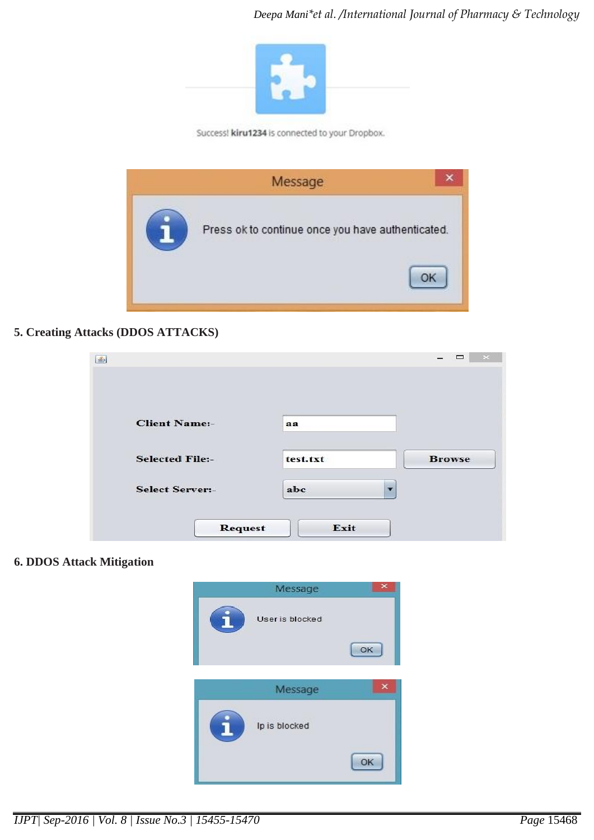

Success! kiru1234 is connected to your Dropbox.



### **5. Creating Attacks (DDOS ATTACKS)**

| 乡                      |                        | ▭             |
|------------------------|------------------------|---------------|
|                        |                        |               |
| <b>Client Name:-</b>   | aa                     |               |
| <b>Selected File:-</b> | test.txt               | <b>Browse</b> |
| <b>Select Server:-</b> | abc                    |               |
|                        | Exit<br><b>Request</b> |               |

### **6. DDOS Attack Mitigation**



*IJPT| Sep-2016 | Vol. 8 | Issue No.3 | 15455-15470 Page* 15468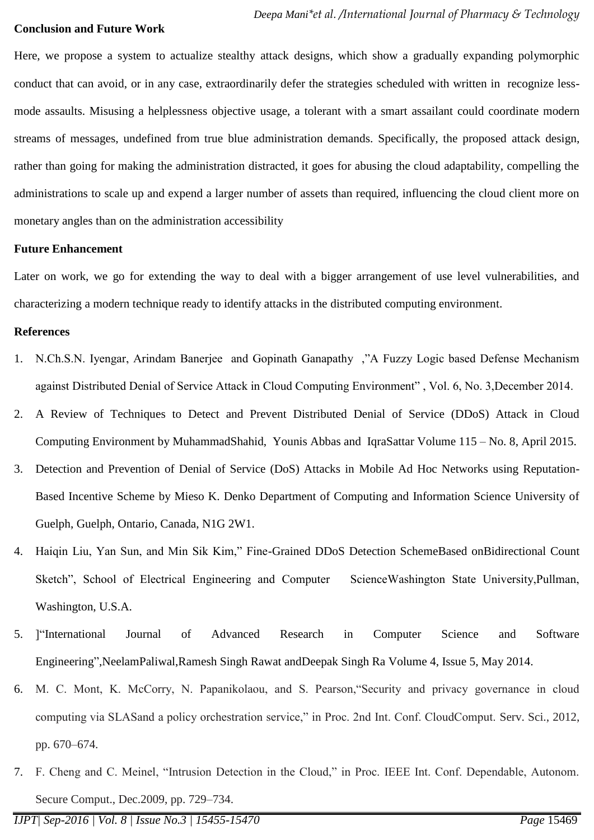#### **Conclusion and Future Work**

Here, we propose a system to actualize stealthy attack designs, which show a gradually expanding polymorphic conduct that can avoid, or in any case, extraordinarily defer the strategies scheduled with written in recognize lessmode assaults. Misusing a helplessness objective usage, a tolerant with a smart assailant could coordinate modern streams of messages, undefined from true blue administration demands. Specifically, the proposed attack design, rather than going for making the administration distracted, it goes for abusing the cloud adaptability, compelling the administrations to scale up and expend a larger number of assets than required, influencing the cloud client more on monetary angles than on the administration accessibility

#### **Future Enhancement**

Later on work, we go for extending the way to deal with a bigger arrangement of use level vulnerabilities, and characterizing a modern technique ready to identify attacks in the distributed computing environment.

#### **References**

- 1. N.Ch.S.N. Iyengar, Arindam Banerjee and Gopinath Ganapathy ,"A Fuzzy Logic based Defense Mechanism against Distributed Denial of Service Attack in Cloud Computing Environment" , Vol. 6, No. 3,December 2014.
- 2. A Review of Techniques to Detect and Prevent Distributed Denial of Service (DDoS) Attack in Cloud Computing Environment by MuhammadShahid, Younis Abbas and IqraSattar Volume 115 – No. 8, April 2015.
- 3. Detection and Prevention of Denial of Service (DoS) Attacks in Mobile Ad Hoc Networks using Reputation-Based Incentive Scheme by Mieso K. Denko Department of Computing and Information Science University of Guelph, Guelph, Ontario, Canada, N1G 2W1.
- 4. Haiqin Liu, Yan Sun, and Min Sik Kim," Fine-Grained DDoS Detection SchemeBased onBidirectional Count Sketch", School of Electrical Engineering and Computer ScienceWashington State University,Pullman, Washington, U.S.A.
- 5. ]"International Journal of Advanced Research in Computer Science and Software Engineering",NeelamPaliwal,Ramesh Singh Rawat andDeepak Singh Ra Volume 4, Issue 5, May 2014.
- 6. M. C. Mont, K. McCorry, N. Papanikolaou, and S. Pearson,"Security and privacy governance in cloud computing via SLASand a policy orchestration service," in Proc. 2nd Int. Conf. CloudComput. Serv. Sci., 2012, pp. 670–674.
- 7. F. Cheng and C. Meinel, "Intrusion Detection in the Cloud," in Proc. IEEE Int. Conf. Dependable, Autonom. Secure Comput., Dec.2009, pp. 729–734.